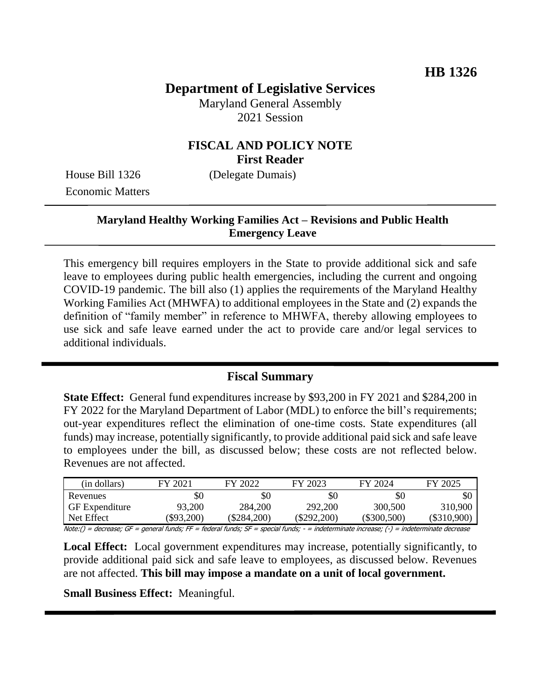# **Department of Legislative Services**

Maryland General Assembly 2021 Session

# **FISCAL AND POLICY NOTE First Reader**

House Bill 1326 (Delegate Dumais) Economic Matters

# **Maryland Healthy Working Families Act – Revisions and Public Health Emergency Leave**

This emergency bill requires employers in the State to provide additional sick and safe leave to employees during public health emergencies, including the current and ongoing COVID-19 pandemic. The bill also (1) applies the requirements of the Maryland Healthy Working Families Act (MHWFA) to additional employees in the State and (2) expands the definition of "family member" in reference to MHWFA, thereby allowing employees to use sick and safe leave earned under the act to provide care and/or legal services to additional individuals.

## **Fiscal Summary**

**State Effect:** General fund expenditures increase by \$93,200 in FY 2021 and \$284,200 in FY 2022 for the Maryland Department of Labor (MDL) to enforce the bill's requirements; out-year expenditures reflect the elimination of one-time costs. State expenditures (all funds) may increase, potentially significantly, to provide additional paid sick and safe leave to employees under the bill, as discussed below; these costs are not reflected below. Revenues are not affected.

| (in dollars)          | FY 2021  | FY 2022   | FY 2023     | FY 2024       | FY 2025     |
|-----------------------|----------|-----------|-------------|---------------|-------------|
| Revenues              | \$0      | SC        | \$0         | \$0           | \$0         |
| <b>GF</b> Expenditure | 93,200   | 284,200   | 292,200     | 300,500       | 310,900     |
| Net Effect            | \$93,200 | \$284,200 | (\$292.200) | $(\$300,500)$ | (\$310.900) |

Note:() = decrease; GF = general funds; FF = federal funds; SF = special funds; - = indeterminate increase; (-) = indeterminate decrease

**Local Effect:** Local government expenditures may increase, potentially significantly, to provide additional paid sick and safe leave to employees, as discussed below. Revenues are not affected. **This bill may impose a mandate on a unit of local government.**

**Small Business Effect:** Meaningful.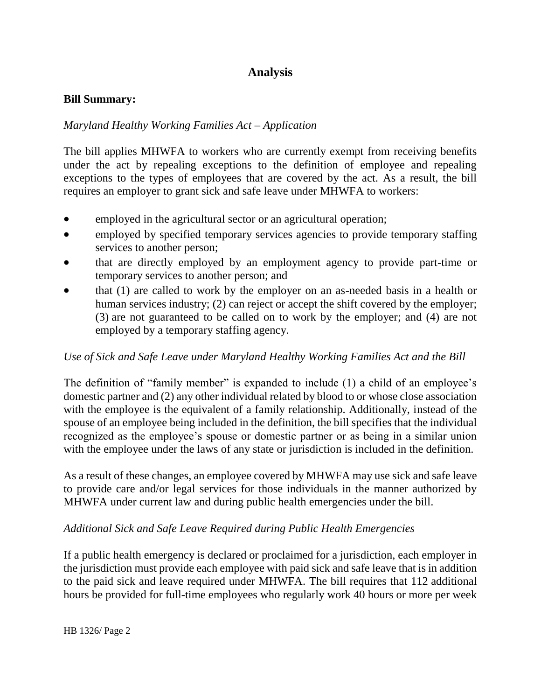# **Analysis**

### **Bill Summary:**

## *Maryland Healthy Working Families Act – Application*

The bill applies MHWFA to workers who are currently exempt from receiving benefits under the act by repealing exceptions to the definition of employee and repealing exceptions to the types of employees that are covered by the act. As a result, the bill requires an employer to grant sick and safe leave under MHWFA to workers:

- employed in the agricultural sector or an agricultural operation;
- employed by specified temporary services agencies to provide temporary staffing services to another person;
- that are directly employed by an employment agency to provide part-time or temporary services to another person; and
- that (1) are called to work by the employer on an as-needed basis in a health or human services industry; (2) can reject or accept the shift covered by the employer; (3) are not guaranteed to be called on to work by the employer; and (4) are not employed by a temporary staffing agency.

## *Use of Sick and Safe Leave under Maryland Healthy Working Families Act and the Bill*

The definition of "family member" is expanded to include (1) a child of an employee's domestic partner and (2) any other individual related by blood to or whose close association with the employee is the equivalent of a family relationship. Additionally, instead of the spouse of an employee being included in the definition, the bill specifies that the individual recognized as the employee's spouse or domestic partner or as being in a similar union with the employee under the laws of any state or jurisdiction is included in the definition.

As a result of these changes, an employee covered by MHWFA may use sick and safe leave to provide care and/or legal services for those individuals in the manner authorized by MHWFA under current law and during public health emergencies under the bill.

## *Additional Sick and Safe Leave Required during Public Health Emergencies*

If a public health emergency is declared or proclaimed for a jurisdiction, each employer in the jurisdiction must provide each employee with paid sick and safe leave that is in addition to the paid sick and leave required under MHWFA. The bill requires that 112 additional hours be provided for full-time employees who regularly work 40 hours or more per week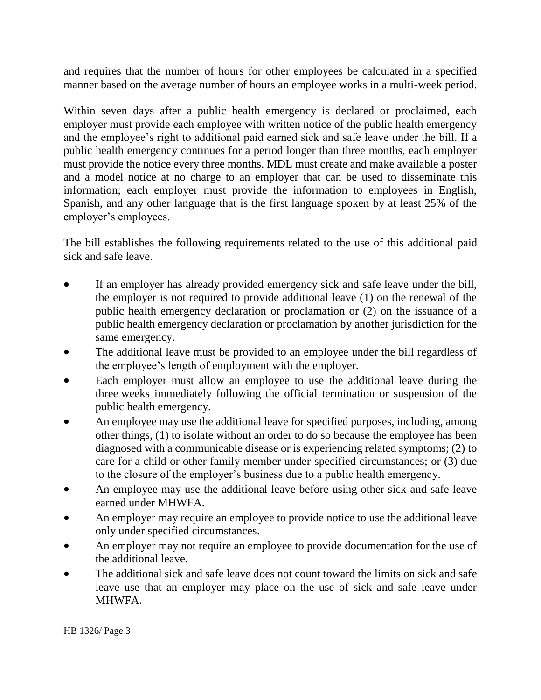and requires that the number of hours for other employees be calculated in a specified manner based on the average number of hours an employee works in a multi-week period.

Within seven days after a public health emergency is declared or proclaimed, each employer must provide each employee with written notice of the public health emergency and the employee's right to additional paid earned sick and safe leave under the bill. If a public health emergency continues for a period longer than three months, each employer must provide the notice every three months. MDL must create and make available a poster and a model notice at no charge to an employer that can be used to disseminate this information; each employer must provide the information to employees in English, Spanish, and any other language that is the first language spoken by at least 25% of the employer's employees.

The bill establishes the following requirements related to the use of this additional paid sick and safe leave.

- If an employer has already provided emergency sick and safe leave under the bill, the employer is not required to provide additional leave (1) on the renewal of the public health emergency declaration or proclamation or (2) on the issuance of a public health emergency declaration or proclamation by another jurisdiction for the same emergency.
- The additional leave must be provided to an employee under the bill regardless of the employee's length of employment with the employer.
- Each employer must allow an employee to use the additional leave during the three weeks immediately following the official termination or suspension of the public health emergency.
- An employee may use the additional leave for specified purposes, including, among other things, (1) to isolate without an order to do so because the employee has been diagnosed with a communicable disease or is experiencing related symptoms; (2) to care for a child or other family member under specified circumstances; or (3) due to the closure of the employer's business due to a public health emergency.
- An employee may use the additional leave before using other sick and safe leave earned under MHWFA.
- An employer may require an employee to provide notice to use the additional leave only under specified circumstances.
- An employer may not require an employee to provide documentation for the use of the additional leave.
- The additional sick and safe leave does not count toward the limits on sick and safe leave use that an employer may place on the use of sick and safe leave under MHWFA.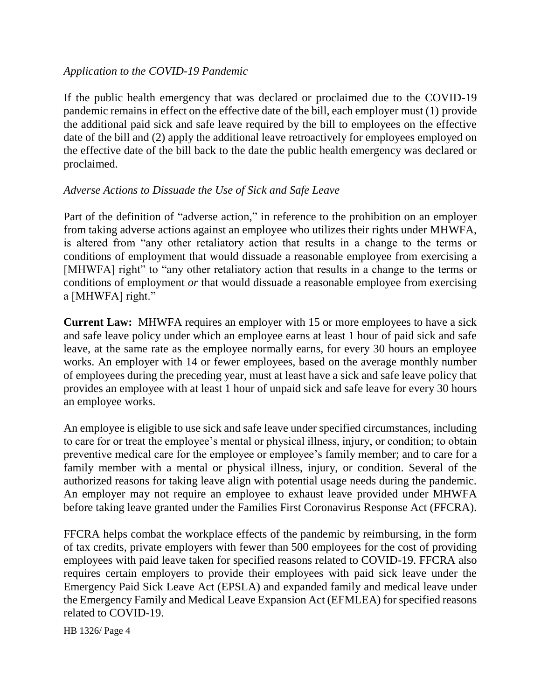### *Application to the COVID-19 Pandemic*

If the public health emergency that was declared or proclaimed due to the COVID-19 pandemic remains in effect on the effective date of the bill, each employer must (1) provide the additional paid sick and safe leave required by the bill to employees on the effective date of the bill and (2) apply the additional leave retroactively for employees employed on the effective date of the bill back to the date the public health emergency was declared or proclaimed.

## *Adverse Actions to Dissuade the Use of Sick and Safe Leave*

Part of the definition of "adverse action," in reference to the prohibition on an employer from taking adverse actions against an employee who utilizes their rights under MHWFA, is altered from "any other retaliatory action that results in a change to the terms or conditions of employment that would dissuade a reasonable employee from exercising a [MHWFA] right" to "any other retaliatory action that results in a change to the terms or conditions of employment *or* that would dissuade a reasonable employee from exercising a [MHWFA] right."

**Current Law:** MHWFA requires an employer with 15 or more employees to have a sick and safe leave policy under which an employee earns at least 1 hour of paid sick and safe leave, at the same rate as the employee normally earns, for every 30 hours an employee works. An employer with 14 or fewer employees, based on the average monthly number of employees during the preceding year, must at least have a sick and safe leave policy that provides an employee with at least 1 hour of unpaid sick and safe leave for every 30 hours an employee works.

An employee is eligible to use sick and safe leave under specified circumstances, including to care for or treat the employee's mental or physical illness, injury, or condition; to obtain preventive medical care for the employee or employee's family member; and to care for a family member with a mental or physical illness, injury, or condition. Several of the authorized reasons for taking leave align with potential usage needs during the pandemic. An employer may not require an employee to exhaust leave provided under MHWFA before taking leave granted under the Families First Coronavirus Response Act (FFCRA).

FFCRA helps combat the workplace effects of the pandemic by reimbursing, in the form of tax credits, private employers with fewer than 500 employees for the cost of providing employees with paid leave taken for specified reasons related to COVID-19. FFCRA also requires certain employers to provide their employees with paid sick leave under the Emergency Paid Sick Leave Act (EPSLA) and expanded family and medical leave under the Emergency Family and Medical Leave Expansion Act (EFMLEA) for specified reasons related to COVID-19.

HB 1326/ Page 4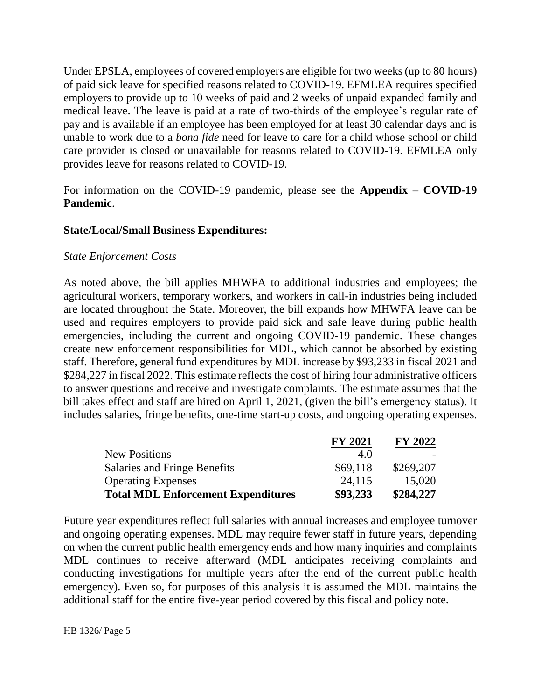Under EPSLA, employees of covered employers are eligible for two weeks (up to 80 hours) of paid sick leave for specified reasons related to COVID-19. EFMLEA requires specified employers to provide up to 10 weeks of paid and 2 weeks of unpaid expanded family and medical leave. The leave is paid at a rate of two-thirds of the employee's regular rate of pay and is available if an employee has been employed for at least 30 calendar days and is unable to work due to a *bona fide* need for leave to care for a child whose school or child care provider is closed or unavailable for reasons related to COVID-19. EFMLEA only provides leave for reasons related to COVID-19.

For information on the COVID-19 pandemic, please see the **Appendix – COVID-19 Pandemic**.

### **State/Local/Small Business Expenditures:**

#### *State Enforcement Costs*

As noted above, the bill applies MHWFA to additional industries and employees; the agricultural workers, temporary workers, and workers in call-in industries being included are located throughout the State. Moreover, the bill expands how MHWFA leave can be used and requires employers to provide paid sick and safe leave during public health emergencies, including the current and ongoing COVID-19 pandemic. These changes create new enforcement responsibilities for MDL, which cannot be absorbed by existing staff. Therefore, general fund expenditures by MDL increase by \$93,233 in fiscal 2021 and \$284,227 in fiscal 2022. This estimate reflects the cost of hiring four administrative officers to answer questions and receive and investigate complaints. The estimate assumes that the bill takes effect and staff are hired on April 1, 2021, (given the bill's emergency status). It includes salaries, fringe benefits, one-time start-up costs, and ongoing operating expenses.

|                                           | <b>FY 2021</b> | <b>FY 2022</b> |
|-------------------------------------------|----------------|----------------|
| <b>New Positions</b>                      | 4.0            |                |
| Salaries and Fringe Benefits              | \$69,118       | \$269,207      |
| <b>Operating Expenses</b>                 | 24,115         | 15,020         |
| <b>Total MDL Enforcement Expenditures</b> | \$93,233       | \$284,227      |

Future year expenditures reflect full salaries with annual increases and employee turnover and ongoing operating expenses. MDL may require fewer staff in future years, depending on when the current public health emergency ends and how many inquiries and complaints MDL continues to receive afterward (MDL anticipates receiving complaints and conducting investigations for multiple years after the end of the current public health emergency). Even so, for purposes of this analysis it is assumed the MDL maintains the additional staff for the entire five-year period covered by this fiscal and policy note.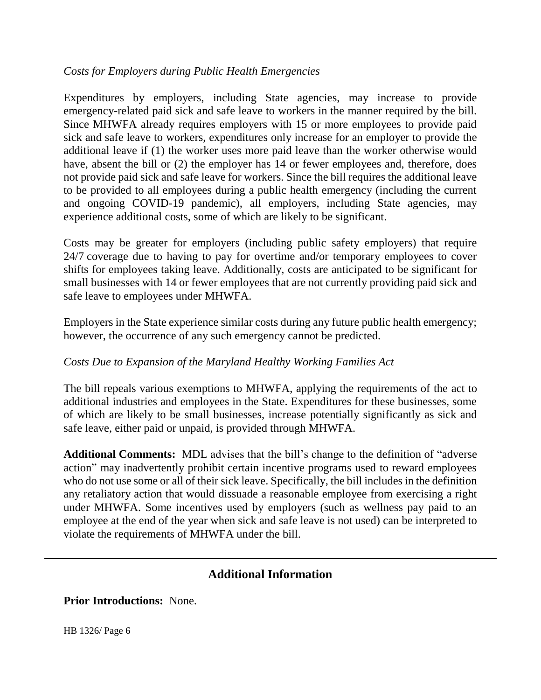## *Costs for Employers during Public Health Emergencies*

Expenditures by employers, including State agencies, may increase to provide emergency-related paid sick and safe leave to workers in the manner required by the bill. Since MHWFA already requires employers with 15 or more employees to provide paid sick and safe leave to workers, expenditures only increase for an employer to provide the additional leave if (1) the worker uses more paid leave than the worker otherwise would have, absent the bill or (2) the employer has 14 or fewer employees and, therefore, does not provide paid sick and safe leave for workers. Since the bill requires the additional leave to be provided to all employees during a public health emergency (including the current and ongoing COVID-19 pandemic), all employers, including State agencies, may experience additional costs, some of which are likely to be significant.

Costs may be greater for employers (including public safety employers) that require 24/7 coverage due to having to pay for overtime and/or temporary employees to cover shifts for employees taking leave. Additionally, costs are anticipated to be significant for small businesses with 14 or fewer employees that are not currently providing paid sick and safe leave to employees under MHWFA.

Employers in the State experience similar costs during any future public health emergency; however, the occurrence of any such emergency cannot be predicted.

## *Costs Due to Expansion of the Maryland Healthy Working Families Act*

The bill repeals various exemptions to MHWFA, applying the requirements of the act to additional industries and employees in the State. Expenditures for these businesses, some of which are likely to be small businesses, increase potentially significantly as sick and safe leave, either paid or unpaid, is provided through MHWFA.

**Additional Comments:** MDL advises that the bill's change to the definition of "adverse action" may inadvertently prohibit certain incentive programs used to reward employees who do not use some or all of their sick leave. Specifically, the bill includes in the definition any retaliatory action that would dissuade a reasonable employee from exercising a right under MHWFA. Some incentives used by employers (such as wellness pay paid to an employee at the end of the year when sick and safe leave is not used) can be interpreted to violate the requirements of MHWFA under the bill.

# **Additional Information**

**Prior Introductions:** None.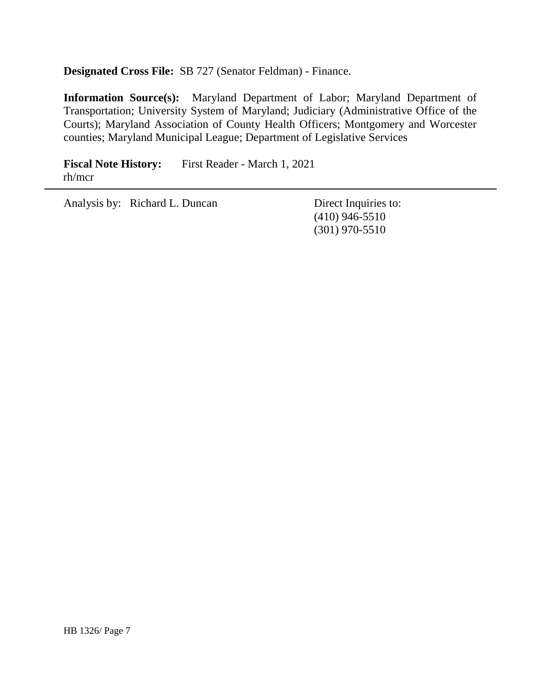**Designated Cross File:** SB 727 (Senator Feldman) - Finance.

**Information Source(s):** Maryland Department of Labor; Maryland Department of Transportation; University System of Maryland; Judiciary (Administrative Office of the Courts); Maryland Association of County Health Officers; Montgomery and Worcester counties; Maryland Municipal League; Department of Legislative Services

**Fiscal Note History:** First Reader - March 1, 2021 rh/mcr

Analysis by: Richard L. Duncan Direct Inquiries to:

(410) 946-5510 (301) 970-5510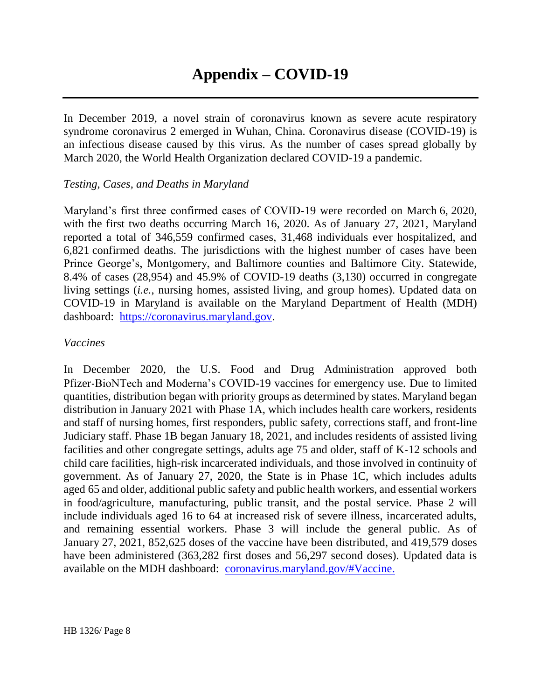In December 2019, a novel strain of coronavirus known as severe acute respiratory syndrome coronavirus 2 emerged in Wuhan, China. Coronavirus disease (COVID-19) is an infectious disease caused by this virus. As the number of cases spread globally by March 2020, the World Health Organization declared COVID-19 a pandemic.

### *Testing, Cases, and Deaths in Maryland*

Maryland's first three confirmed cases of COVID-19 were recorded on March 6, 2020, with the first two deaths occurring March 16, 2020. As of January 27, 2021, Maryland reported a total of 346,559 confirmed cases, 31,468 individuals ever hospitalized, and 6,821 confirmed deaths. The jurisdictions with the highest number of cases have been Prince George's, Montgomery, and Baltimore counties and Baltimore City. Statewide, 8.4% of cases (28,954) and 45.9% of COVID-19 deaths (3,130) occurred in congregate living settings (*i.e.*, nursing homes, assisted living, and group homes). Updated data on COVID-19 in Maryland is available on the Maryland Department of Health (MDH) dashboard: [https://coronavirus.maryland.gov.](https://coronavirus.maryland.gov/)

### *Vaccines*

In December 2020, the U.S. Food and Drug Administration approved both Pfizer-BioNTech and Moderna's COVID-19 vaccines for emergency use. Due to limited quantities, distribution began with priority groups as determined by states. Maryland began distribution in January 2021 with Phase 1A, which includes health care workers, residents and staff of nursing homes, first responders, public safety, corrections staff, and front-line Judiciary staff. Phase 1B began January 18, 2021, and includes residents of assisted living facilities and other congregate settings, adults age 75 and older, staff of K-12 schools and child care facilities, high-risk incarcerated individuals, and those involved in continuity of government. As of January 27, 2020, the State is in Phase 1C, which includes adults aged 65 and older, additional public safety and public health workers, and essential workers in food/agriculture, manufacturing, public transit, and the postal service. Phase 2 will include individuals aged 16 to 64 at increased risk of severe illness, incarcerated adults, and remaining essential workers. Phase 3 will include the general public. As of January 27, 2021, 852,625 doses of the vaccine have been distributed, and 419,579 doses have been administered (363,282 first doses and 56,297 second doses). Updated data is available on the MDH dashboard: [coronavirus.maryland.gov/#Vaccine.](https://coronavirus.maryland.gov/#Vaccine)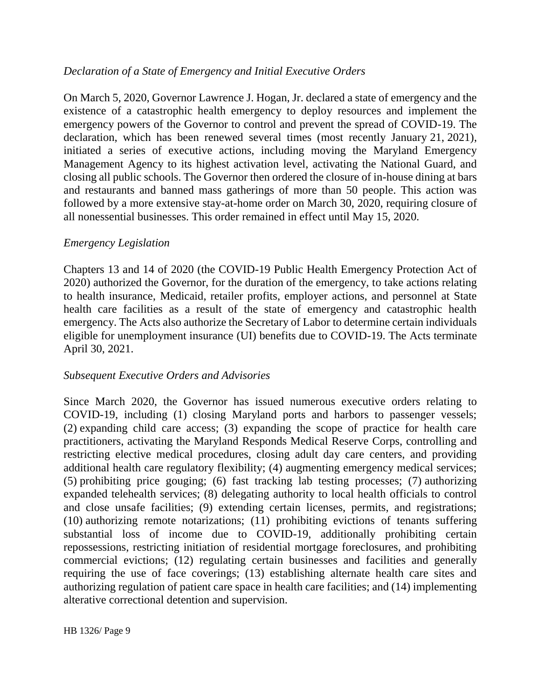## *Declaration of a State of Emergency and Initial Executive Orders*

On March 5, 2020, Governor Lawrence J. Hogan, Jr. declared a state of emergency and the existence of a catastrophic health emergency to deploy resources and implement the emergency powers of the Governor to control and prevent the spread of COVID-19. The declaration, which has been renewed several times (most recently January 21, 2021), initiated a series of executive actions, including moving the Maryland Emergency Management Agency to its highest activation level, activating the National Guard, and closing all public schools. The Governor then ordered the closure of in-house dining at bars and restaurants and banned mass gatherings of more than 50 people. This action was followed by a more extensive stay-at-home order on March 30, 2020, requiring closure of all nonessential businesses. This order remained in effect until May 15, 2020.

## *Emergency Legislation*

Chapters 13 and 14 of 2020 (the COVID-19 Public Health Emergency Protection Act of 2020) authorized the Governor, for the duration of the emergency, to take actions relating to health insurance, Medicaid, retailer profits, employer actions, and personnel at State health care facilities as a result of the state of emergency and catastrophic health emergency. The Acts also authorize the Secretary of Labor to determine certain individuals eligible for unemployment insurance (UI) benefits due to COVID-19. The Acts terminate April 30, 2021.

## *Subsequent Executive Orders and Advisories*

Since March 2020, the Governor has issued numerous executive orders relating to COVID-19, including (1) closing Maryland ports and harbors to passenger vessels; (2) expanding child care access; (3) expanding the scope of practice for health care practitioners, activating the Maryland Responds Medical Reserve Corps, controlling and restricting elective medical procedures, closing adult day care centers, and providing additional health care regulatory flexibility; (4) augmenting emergency medical services; (5) prohibiting price gouging; (6) fast tracking lab testing processes; (7) authorizing expanded telehealth services; (8) delegating authority to local health officials to control and close unsafe facilities; (9) extending certain licenses, permits, and registrations; (10) authorizing remote notarizations; (11) prohibiting evictions of tenants suffering substantial loss of income due to COVID-19, additionally prohibiting certain repossessions, restricting initiation of residential mortgage foreclosures, and prohibiting commercial evictions; (12) regulating certain businesses and facilities and generally requiring the use of face coverings; (13) establishing alternate health care sites and authorizing regulation of patient care space in health care facilities; and (14) implementing alterative correctional detention and supervision.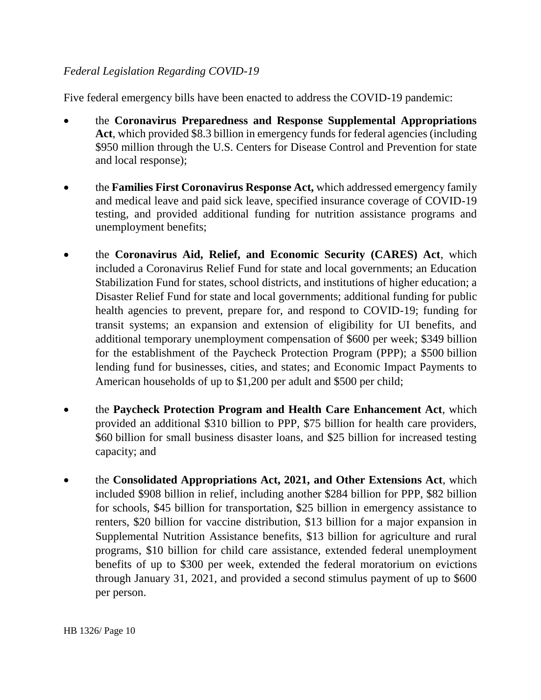## *Federal Legislation Regarding COVID-19*

Five federal emergency bills have been enacted to address the COVID-19 pandemic:

- the **Coronavirus Preparedness and Response Supplemental Appropriations Act**, which provided \$8.3 billion in emergency funds for federal agencies (including \$950 million through the U.S. Centers for Disease Control and Prevention for state and local response);
- the **Families First Coronavirus Response Act,** which addressed emergency family and medical leave and paid sick leave, specified insurance coverage of COVID-19 testing, and provided additional funding for nutrition assistance programs and unemployment benefits;
- the **Coronavirus Aid, Relief, and Economic Security (CARES) Act**, which included a Coronavirus Relief Fund for state and local governments; an Education Stabilization Fund for states, school districts, and institutions of higher education; a Disaster Relief Fund for state and local governments; additional funding for public health agencies to prevent, prepare for, and respond to COVID-19; funding for transit systems; an expansion and extension of eligibility for UI benefits, and additional temporary unemployment compensation of \$600 per week; \$349 billion for the establishment of the Paycheck Protection Program (PPP); a \$500 billion lending fund for businesses, cities, and states; and Economic Impact Payments to American households of up to \$1,200 per adult and \$500 per child;
- the **Paycheck Protection Program and Health Care Enhancement Act**, which provided an additional \$310 billion to PPP, \$75 billion for health care providers, \$60 billion for small business disaster loans, and \$25 billion for increased testing capacity; and
- the **Consolidated Appropriations Act, 2021, and Other Extensions Act**, which included \$908 billion in relief, including another \$284 billion for PPP, \$82 billion for schools, \$45 billion for transportation, \$25 billion in emergency assistance to renters, \$20 billion for vaccine distribution, \$13 billion for a major expansion in Supplemental Nutrition Assistance benefits, \$13 billion for agriculture and rural programs, \$10 billion for child care assistance, extended federal unemployment benefits of up to \$300 per week, extended the federal moratorium on evictions through January 31, 2021, and provided a second stimulus payment of up to \$600 per person.